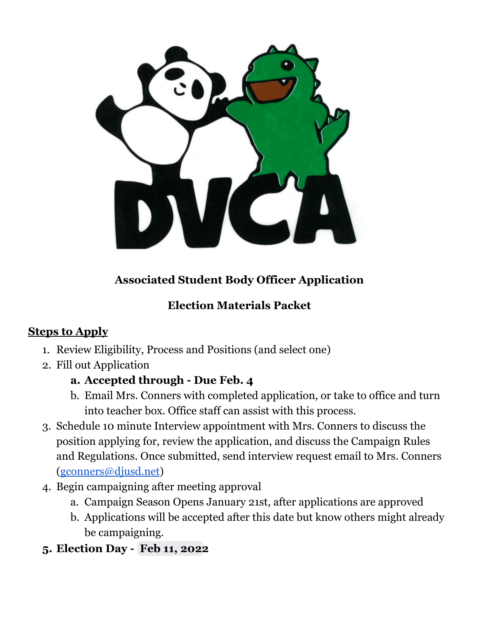

# **Associated Student Body Officer Application**

# **Election Materials Packet**

# **Steps to Apply**

- 1. Review Eligibility, Process and Positions (and select one)
- 2. Fill out Application

# **a. Accepted through - Due Feb. 4**

- b. Email Mrs. Conners with completed application, or take to office and turn into teacher box. Office staff can assist with this process.
- 3. Schedule 10 minute Interview appointment with Mrs. Conners to discuss the position applying for, review the application, and discuss the Campaign Rules and Regulations. Once submitted, send interview request email to Mrs. Conners [\(gconners@djusd.net](mailto:gconners@djusd.net))
- 4. Begin campaigning after meeting approval
	- a. Campaign Season Opens January 21st, after applications are approved
	- b. Applications will be accepted after this date but know others might already be campaigning.
- **5. Election Day - Feb 11, 2022**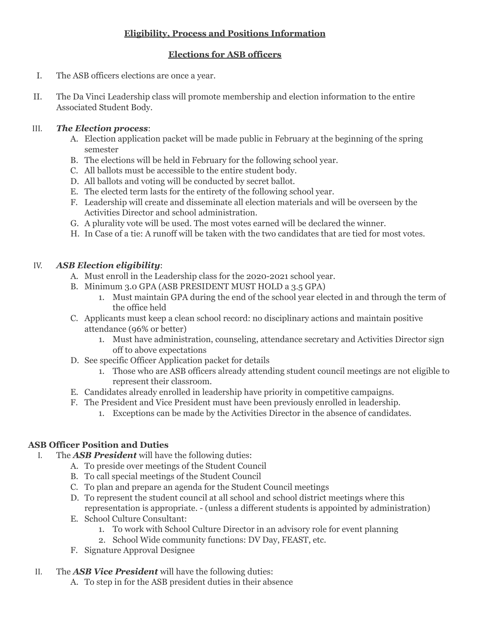## **Eligibility, Process and Positions Information**

### **Elections for ASB officers**

- The ASB officers elections are once a year. I.
- The Da Vinci Leadership class will promote membership and election information to the entire Associated Student Body. II.

#### *The Election process*: III.

- A. Election application packet will be made public in February at the beginning of the spring semester
- B. The elections will be held in February for the following school year.
- C. All ballots must be accessible to the entire student body.
- D. All ballots and voting will be conducted by secret ballot.
- E. The elected term lasts for the entirety of the following school year.
- F. Leadership will create and disseminate all election materials and will be overseen by the Activities Director and school administration.
- G. A plurality vote will be used. The most votes earned will be declared the winner.
- H. In Case of a tie: A runoff will be taken with the two candidates that are tied for most votes.

#### *ASB Election eligibility*: IV.

- A. Must enroll in the Leadership class for the 2020-2021 school year.
- B. Minimum 3.0 GPA (ASB PRESIDENT MUST HOLD a 3.5 GPA)
	- 1. Must maintain GPA during the end of the school year elected in and through the term of the office held
- C. Applicants must keep a clean school record: no disciplinary actions and maintain positive attendance (96% or better)
	- 1. Must have administration, counseling, attendance secretary and Activities Director sign off to above expectations
- D. See specific Officer Application packet for details
	- 1. Those who are ASB officers already attending student council meetings are not eligible to represent their classroom.
- E. Candidates already enrolled in leadership have priority in competitive campaigns.
- F. The President and Vice President must have been previously enrolled in leadership.
	- 1. Exceptions can be made by the Activities Director in the absence of candidates.

## **ASB Officer Position and Duties**

- The *ASB President* will have the following duties: I.
	- A. To preside over meetings of the Student Council
	- B. To call special meetings of the Student Council
	- C. To plan and prepare an agenda for the Student Council meetings
	- D. To represent the student council at all school and school district meetings where this representation is appropriate. - (unless a different students is appointed by administration)
	- E. School Culture Consultant:
		- 1. To work with School Culture Director in an advisory role for event planning
		- 2. School Wide community functions: DV Day, FEAST, etc.
	- F. Signature Approval Designee

#### The *ASB Vice President* will have the following duties: II.

A. To step in for the ASB president duties in their absence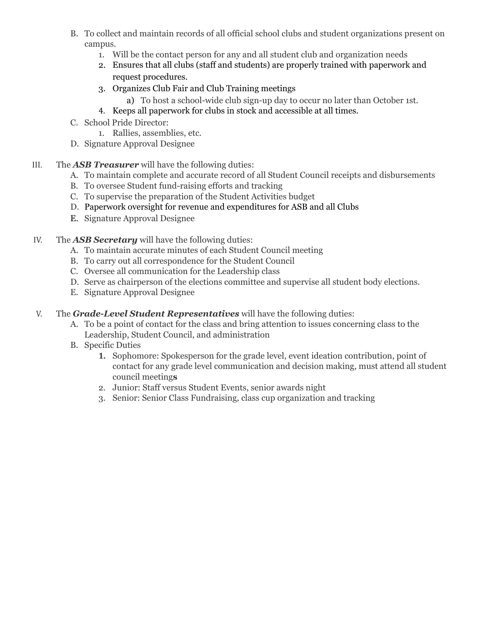- B. To collect and maintain records of all official school clubs and student organizations present on campus.
	- 1. Will be the contact person for any and all student club and organization needs
	- 2. Ensures that all clubs (staff and students) are properly trained with paperwork and request procedures.
	- 3. Organizes Club Fair and Club Training meetings
		- a) To host a school-wide club sign-up day to occur no later than October 1st.
	- 4. Keeps all paperwork for clubs in stock and accessible at all times.
- C. School Pride Director:
	- 1. Rallies, assemblies, etc.
- D. Signature Approval Designee
- III. The *ASB Treasurer* will have the following duties:
	- A. To maintain complete and accurate record of all Student Council receipts and disbursements
	- B. To oversee Student fund-raising efforts and tracking
	- C. To supervise the preparation of the Student Activities budget
	- D. Paperwork oversight for revenue and expenditures for ASB and all Clubs
	- E. Signature Approval Designee
- IV. The *ASB Secretary* will have the following duties:
	- A. To maintain accurate minutes of each Student Council meeting
	- B. To carry out all correspondence for the Student Council
	- C. Oversee all communication for the Leadership class
	- D. Serve as chairperson of the elections committee and supervise all student body elections.
	- E. Signature Approval Designee
- V. The *Grade-Level Student Representatives* will have the following duties:
	- A. To be a point of contact for the class and bring attention to issues concerning class to the Leadership, Student Council, and administration
	- B. Specific Duties
		- **1.** Sophomore: Spokesperson for the grade level, event ideation contribution, point of contact for any grade level communication and decision making, must attend all student council meeting**s**
		- 2. Junior: Staff versus Student Events, senior awards night
		- 3. Senior: Senior Class Fundraising, class cup organization and tracking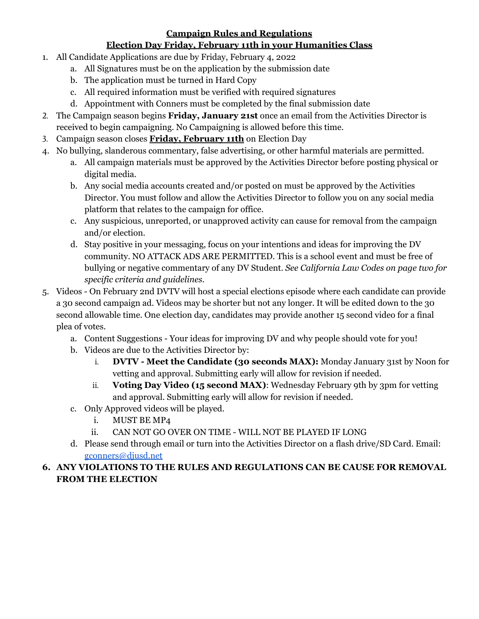### **Campaign Rules and Regulations**

### **Election Day Friday, February 11th in your Humanities Class**

- 1. All Candidate Applications are due by Friday, February 4, 2022
	- a. All Signatures must be on the application by the submission date
	- b. The application must be turned in Hard Copy
	- c. All required information must be verified with required signatures
	- d. Appointment with Conners must be completed by the final submission date
- 2. The Campaign season begins **Friday, January 21st** once an email from the Activities Director is received to begin campaigning. No Campaigning is allowed before this time.
- 3. Campaign season closes **Friday, February 11th** on Election Day
- 4. No bullying, slanderous commentary, false advertising, or other harmful materials are permitted.
	- a. All campaign materials must be approved by the Activities Director before posting physical or digital media.
	- b. Any social media accounts created and/or posted on must be approved by the Activities Director. You must follow and allow the Activities Director to follow you on any social media platform that relates to the campaign for office.
	- c. Any suspicious, unreported, or unapproved activity can cause for removal from the campaign and/or election.
	- d. Stay positive in your messaging, focus on your intentions and ideas for improving the DV community. NO ATTACK ADS ARE PERMITTED. This is a school event and must be free of bullying or negative commentary of any DV Student. *See California Law Codes on page two for specific criteria and guidelines.*
- 5. Videos On February 2nd DVTV will host a special elections episode where each candidate can provide a 30 second campaign ad. Videos may be shorter but not any longer. It will be edited down to the 30 second allowable time. One election day, candidates may provide another 15 second video for a final plea of votes.
	- a. Content Suggestions Your ideas for improving DV and why people should vote for you!
	- b. Videos are due to the Activities Director by:
		- i. **DVTV Meet the Candidate (30 seconds MAX):** Monday January 31st by Noon for vetting and approval. Submitting early will allow for revision if needed.
		- ii. **Voting Day Video (15 second MAX)**: Wednesday February 9th by 3pm for vetting and approval. Submitting early will allow for revision if needed.
	- c. Only Approved videos will be played.
		- i. MUST BE MP4
		- ii. CAN NOT GO OVER ON TIME WILL NOT BE PLAYED IF LONG
	- d. Please send through email or turn into the Activities Director on a flash drive/SD Card. Email: [gconners@djusd.net](mailto:gconners@djusd.net)

## **6. ANY VIOLATIONS TO THE RULES AND REGULATIONS CAN BE CAUSE FOR REMOVAL FROM THE ELECTION**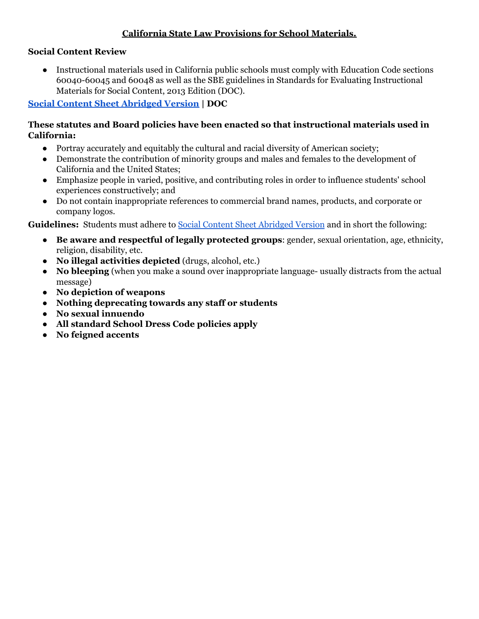## **California State Law Provisions for School Materials.**

## **Social Content Review**

 ● Instructional materials used in California public schools must comply with Education Code sections 60040-60045 and 60048 as well as the SBE guidelines in Standards for Evaluating Instructional Materials for Social Content, 2013 Edition (DOC).

## **Social Content Sheet [Abridged](https://www.cde.ca.gov/ci/cr/cf/abridgedsocialcontent.asp) Version | DOC**

### **These statutes and Board policies have been enacted so that instructional materials used in California:**

- Portray accurately and equitably the cultural and racial diversity of American society;
- ● Demonstrate the contribution of minority groups and males and females to the development of California and the United States;
- ● Emphasize people in varied, positive, and contributing roles in order to influence students' school experiences constructively; and
- ● Do not contain inappropriate references to commercial brand names, products, and corporate or company logos.

**Guidelines:** Students must adhere to Social Content Sheet [Abridged](https://www.cde.ca.gov/ci/cr/cf/abridgedsocialcontent.asp) Version and in short the following:

- **● Be aware and respectful of legally protected groups**: gender, sexual orientation, age, ethnicity, religion, disability, etc.
- **● No illegal activities depicted** (drugs, alcohol, etc.)
- **● No bleeping** (when you make a sound over inappropriate language- usually distracts from the actual message)
- **● No depiction of weapons**
- **● Nothing deprecating towards any staff or students**
- **● No sexual innuendo**
- **● All standard School Dress Code policies apply**
- **● No feigned accents**